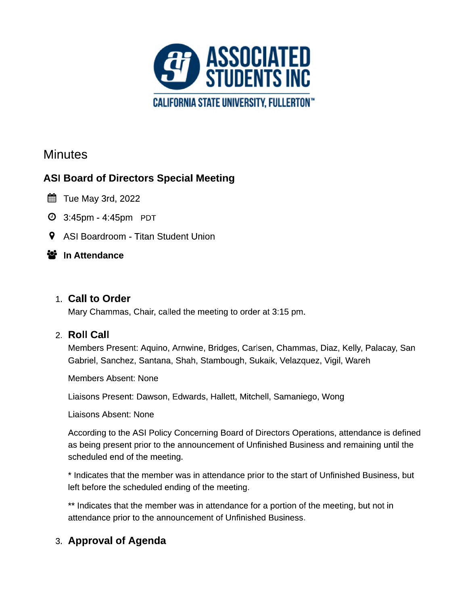

# **Minutes**

# **ASI Board of Directors Special Meeting**

- $\mathbb{H}$  Tue May 3rd, 2022
- **4:45pm 4:45pm PDT**
- 9 ASI Boardroom Titan Student Union

#### 警 In Attendance

#### 1. Call to Order

Mary Chammas, Chair, called the meeting to order at 3:15 pm.

#### 2. Roll Call

Members Present: Aquino, Arnwine, Bridges, Carlsen, Chammas, Diaz, Kelly, Palacay, San Gabriel, Sanchez, Santana, Shah, Stambough, Sukaik, Velazquez, Vigil, Wareh

Members Absent: None

Liaisons Present: Dawson, Edwards, Hallett, Mitchell, Samaniego, Wong

Liaisons Absent: None

According to the ASI Policy Concerning Board of Directors Operations, attendance is defined as being present prior to the announcement of Unfinished Business and remaining until the scheduled end of the meeting.

\* Indicates that the member was in attendance prior to the start of Unfinished Business, but left before the scheduled ending of the meeting.

\*\* Indicates that the member was in attendance for a portion of the meeting, but not in attendance prior to the announcement of Unfinished Business.

### 3. Approval of Agenda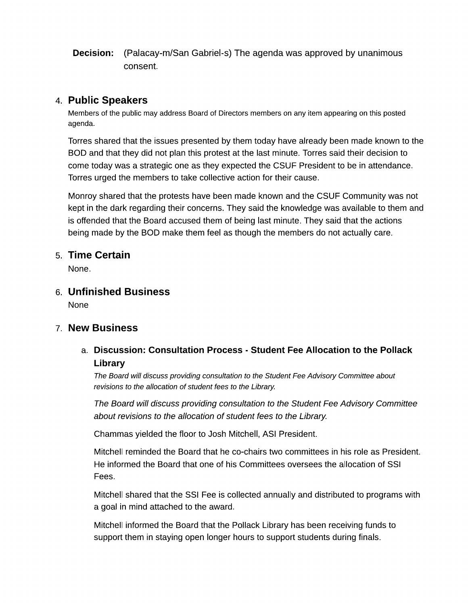**Decision:** (Palacay-m/San Gabriel-s) The agenda was approved by unanimous consent.

#### 4. Public Speakers

Members of the public may address Board of Directors members on any item appearing on this posted agenda.

Torres shared that the issues presented by them today have already been made known to the BOD and that they did not plan this protest at the last minute. Torres said their decision to come today was a strategic one as they expected the CSUF President to be in attendance. Torres urged the members to take collective action for their cause.

Monroy shared that the protests have been made known and the CSUF Community was not kept in the dark regarding their concerns. They said the knowledge was available to them and is offended that the Board accused them of being last minute. They said that the actions being made by the BOD make them feel as though the members do not actually care.

#### 5. Time Certain

None.

6. Unfinished Business **None** 

#### 7. New Business

a. Discussion: Consultation Process - Student Fee Allocation to the Pollack Library

The Board will discuss providing consultation to the Student Fee Advisory Committee about revisions to the allocation of student fees to the Library.

The Board will discuss providing consultation to the Student Fee Advisory Committee about revisions to the allocation of student fees to the Library.

Chammas yielded the floor to Josh Mitchell, ASI President.

Mitchell reminded the Board that he co-chairs two committees in his role as President. He informed the Board that one of his Committees oversees the allocation of SSI Fees.

Mitchell shared that the SSI Fee is collected annually and distributed to programs with a goal in mind attached to the award.

Mitchell informed the Board that the Pollack Library has been receiving funds to support them in staying open longer hours to support students during finals.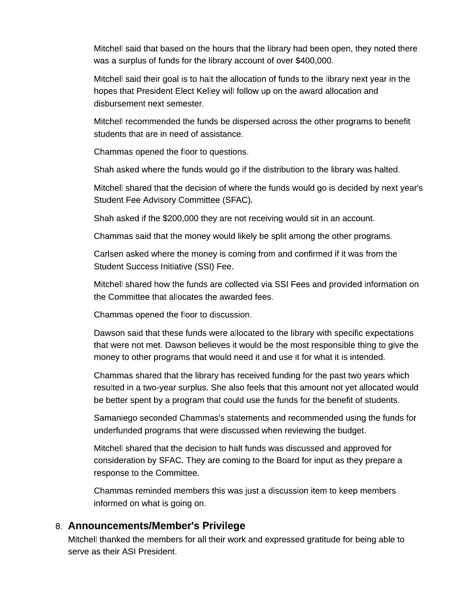Mitchell said that based on the hours that the library had been open, they noted there was a surplus of funds for the library account of over \$400,000.

Mitchell said their goal is to halt the allocation of funds to the library next year in the hopes that President Elect Kelley will follow up on the award allocation and disbursement next semester.

Mitchell recommended the funds be dispersed across the other programs to benefit students that are in need of assistance.

Chammas opened the floor to questions.

Shah asked where the funds would go if the distribution to the library was halted.

Mitchell shared that the decision of where the funds would go is decided by next year's Student Fee Advisory Committee (SFAC).

Shah asked if the \$200,000 they are not receiving would sit in an account.

Chammas said that the money would likely be split among the other programs.

Carlsen asked where the money is coming from and confirmed if it was from the Student Success Initiative (SSI) Fee.

Mitchell shared how the funds are collected via SSI Fees and provided information on the Committee that allocates the awarded fees.

Chammas opened the floor to discussion.

Dawson said that these funds were allocated to the library with specific expectations that were not met. Dawson believes it would be the most responsible thing to give the money to other programs that would need it and use it for what it is intended.

Chammas shared that the library has received funding for the past two years which resulted in a two-year surplus. She also feels that this amount not yet allocated would be better spent by a program that could use the funds for the benefit of students.

Samaniego seconded Chammas's statements and recommended using the funds for underfunded programs that were discussed when reviewing the budget.

Mitchell shared that the decision to halt funds was discussed and approved for consideration by SFAC. They are coming to the Board for input as they prepare a response to the Committee.

Chammas reminded members this was just a discussion item to keep members informed on what is going on.

#### 8. Announcements/Member's Privilege

Mitchell thanked the members for all their work and expressed gratitude for being able to serve as their ASI President.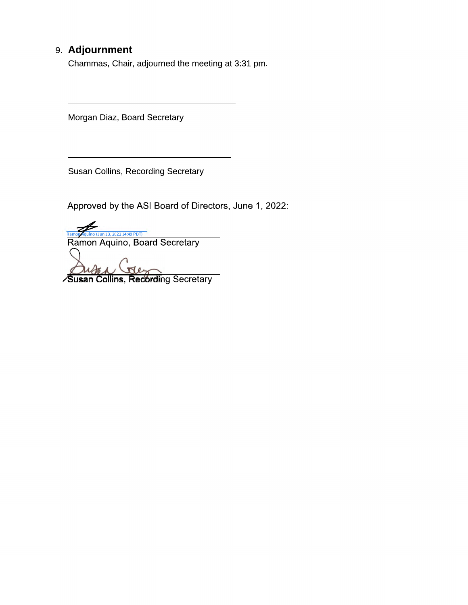# 9. Adjournment

Chammas, Chair, adjourned the meeting at 3:31 pm.

Morgan Diaz, Board Secretary

Susan Collins, Recording Secretary

Approved by the ASI Board of Directors, June 1, 2022:

Ramon Aquino (Jun 13, 2022 14:49 PDT)<br>Ramon Aquino, Board Secretary

Susan Collins, Recording Secretary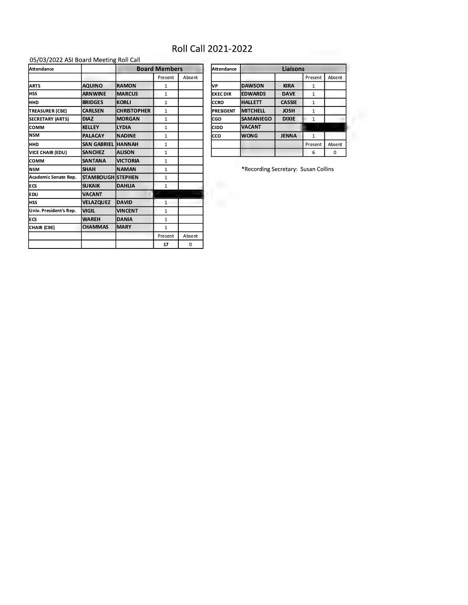# Roll Call 2021-2022

#### 05/03/2022 ASI Board Meeting Roll Call

| <b>Attendance</b>       |                          | <b>Board Members</b> |              |        |
|-------------------------|--------------------------|----------------------|--------------|--------|
|                         |                          |                      | Present      | Absent |
| <b>ARTS</b>             | <b>AQUINO</b>            | <b>RAMON</b>         | $\mathbf{1}$ |        |
| <b>HSS</b>              | <b>ARNWINE</b>           | <b>MARCUS</b>        | $\mathbf{1}$ |        |
| HHD                     | <b>BRIDGES</b>           | <b>KORLI</b>         | $\mathbf{1}$ |        |
| <b>TREASURER (CBE)</b>  | <b>CARLSEN</b>           | <b>CHRISTOPHER</b>   | $\mathbf{1}$ |        |
| <b>SECRETARY (ARTS)</b> | <b>DIAZ</b>              | <b>MORGAN</b>        | $\mathbf{1}$ |        |
| COMM                    | <b>KELLEY</b>            | <b>LYDIA</b>         | $\mathbf{1}$ |        |
| <b>NSM</b>              | <b>PALACAY</b>           | <b>NADINE</b>        | $\mathbf{1}$ |        |
| HHD                     | SAN GABRIEL HANNAH       |                      | $\mathbf{1}$ |        |
| VICE CHAIR (EDU)        | <b>SANCHEZ</b>           | <b>ALISON</b>        | $\mathbf{1}$ |        |
| сомм                    | <b>SANTANA</b>           | <b>VICTORIA</b>      | $\mathbf{1}$ |        |
| <b>NSM</b>              | <b>SHAH</b>              | <b>NAMAN</b>         | $\mathbf{1}$ |        |
| Academic Senate Rep.    | <b>STAMBOUGH STEPHEN</b> |                      | $\mathbf{1}$ |        |
| <b>ECS</b>              | <b>SUKAIK</b>            | <b>DAHLIA</b>        | $\mathbf{1}$ |        |
| EDU                     | <b>VACANT</b>            |                      |              |        |
| <b>HSS</b>              | VELAZQUEZ                | <b>DAVID</b>         | $\mathbf{1}$ |        |
| Univ. President's Rep.  | <b>VIGIL</b>             | <b>VINCENT</b>       | $\mathbf{1}$ |        |
| <b>ECS</b>              | <b>WAREH</b>             | DANIA                | $\mathbf{1}$ |        |
| CHAIR (CBE)             | <b>CHAMMAS</b>           | <b>MARY</b>          | $\mathbf{1}$ |        |
|                         |                          |                      | Present      | Absent |
|                         |                          |                      | 17           | 0      |

| Attendance       | Liaisons         |               |              |        |  |
|------------------|------------------|---------------|--------------|--------|--|
|                  |                  |               | Present      | Absent |  |
| VP               | <b>DAWSON</b>    | <b>KIRA</b>   |              |        |  |
| <b>EXEC DIR</b>  | <b>EDWARDS</b>   | <b>DAVE</b>   | $\mathbf{1}$ |        |  |
| CCRO             | <b>HALLETT</b>   | <b>CASSIE</b> | 1            |        |  |
| <b>PRESIDENT</b> | <b>MITCHELL</b>  | <b>JOSH</b>   |              |        |  |
| CGO              | <b>SAMANIEGO</b> | <b>DIXIE</b>  |              |        |  |
| CIDO             | <b>VACANT</b>    |               |              |        |  |
| cco              | <b>WONG</b>      | <b>JENNA</b>  |              |        |  |
|                  |                  |               | Present      | Absent |  |
|                  |                  |               | 6            | 0      |  |

\*Recording Secretary: Susan Collins